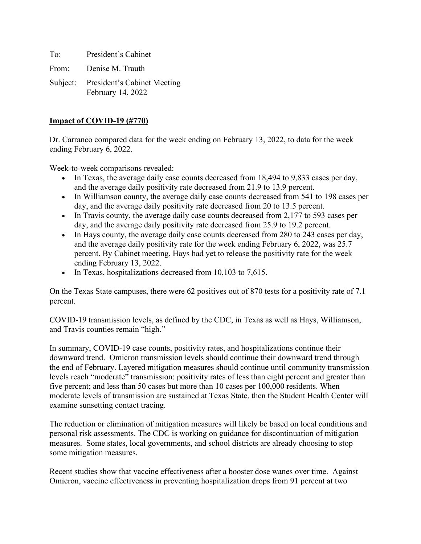To: President's Cabinet From: Denise M. Trauth

Subject: President's Cabinet Meeting February 14, 2022

# **Impact of COVID-19 (#770)**

Dr. Carranco compared data for the week ending on February 13, 2022, to data for the week ending February 6, 2022.

Week-to-week comparisons revealed:

- In Texas, the average daily case counts decreased from 18,494 to 9,833 cases per day, and the average daily positivity rate decreased from 21.9 to 13.9 percent.
- In Williamson county, the average daily case counts decreased from 541 to 198 cases per day, and the average daily positivity rate decreased from 20 to 13.5 percent.
- In Travis county, the average daily case counts decreased from 2,177 to 593 cases per day, and the average daily positivity rate decreased from 25.9 to 19.2 percent.
- In Hays county, the average daily case counts decreased from 280 to 243 cases per day, and the average daily positivity rate for the week ending February 6, 2022, was 25.7 percent. By Cabinet meeting, Hays had yet to release the positivity rate for the week ending February 13, 2022.
- In Texas, hospitalizations decreased from 10,103 to 7,615.

On the Texas State campuses, there were 62 positives out of 870 tests for a positivity rate of 7.1 percent.

COVID-19 transmission levels, as defined by the CDC, in Texas as well as Hays, Williamson, and Travis counties remain "high."

In summary, COVID-19 case counts, positivity rates, and hospitalizations continue their downward trend. Omicron transmission levels should continue their downward trend through the end of February. Layered mitigation measures should continue until community transmission levels reach "moderate" transmission: positivity rates of less than eight percent and greater than five percent; and less than 50 cases but more than 10 cases per 100,000 residents. When moderate levels of transmission are sustained at Texas State, then the Student Health Center will examine sunsetting contact tracing.

The reduction or elimination of mitigation measures will likely be based on local conditions and personal risk assessments. The CDC is working on guidance for discontinuation of mitigation measures. Some states, local governments, and school districts are already choosing to stop some mitigation measures.

Recent studies show that vaccine effectiveness after a booster dose wanes over time. Against Omicron, vaccine effectiveness in preventing hospitalization drops from 91 percent at two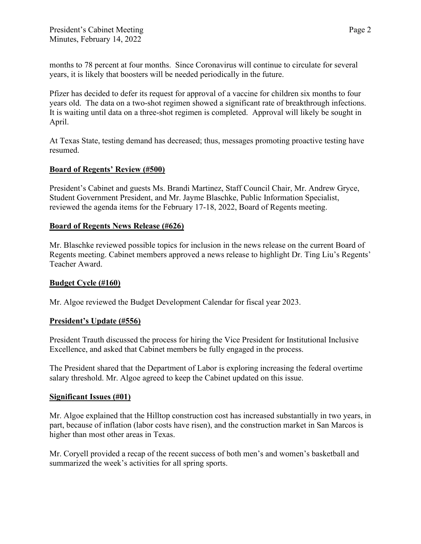months to 78 percent at four months. Since Coronavirus will continue to circulate for several years, it is likely that boosters will be needed periodically in the future.

Pfizer has decided to defer its request for approval of a vaccine for children six months to four years old. The data on a two-shot regimen showed a significant rate of breakthrough infections. It is waiting until data on a three-shot regimen is completed. Approval will likely be sought in April.

At Texas State, testing demand has decreased; thus, messages promoting proactive testing have resumed.

## **Board of Regents' Review (#500)**

President's Cabinet and guests Ms. Brandi Martinez, Staff Council Chair, Mr. Andrew Gryce, Student Government President, and Mr. Jayme Blaschke, Public Information Specialist, reviewed the agenda items for the February 17-18, 2022, Board of Regents meeting.

### **Board of Regents News Release (#626)**

Mr. Blaschke reviewed possible topics for inclusion in the news release on the current Board of Regents meeting. Cabinet members approved a news release to highlight Dr. Ting Liu's Regents' Teacher Award.

### **Budget Cycle (#160)**

Mr. Algoe reviewed the Budget Development Calendar for fiscal year 2023.

### **President's Update (#556)**

President Trauth discussed the process for hiring the Vice President for Institutional Inclusive Excellence, and asked that Cabinet members be fully engaged in the process.

The President shared that the Department of Labor is exploring increasing the federal overtime salary threshold. Mr. Algoe agreed to keep the Cabinet updated on this issue.

#### **Significant Issues (#01)**

Mr. Algoe explained that the Hilltop construction cost has increased substantially in two years, in part, because of inflation (labor costs have risen), and the construction market in San Marcos is higher than most other areas in Texas.

Mr. Coryell provided a recap of the recent success of both men's and women's basketball and summarized the week's activities for all spring sports.